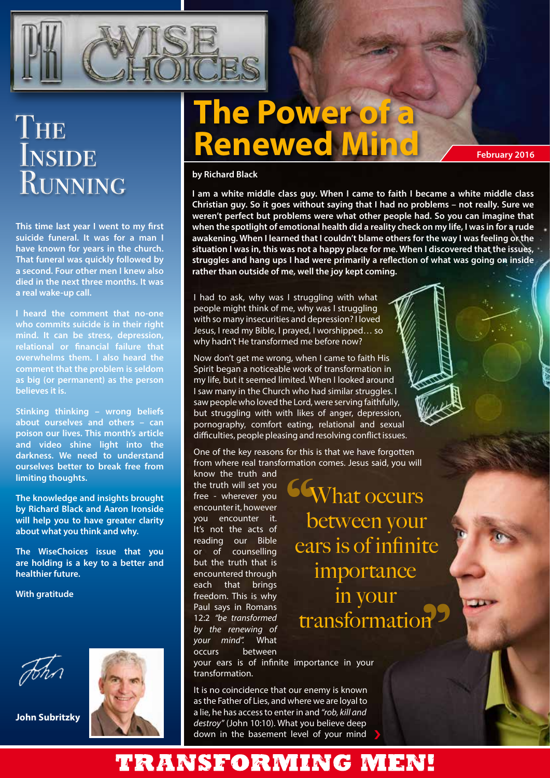

# THE **INSIDE** RUNNING

**This time last year I went to my first suicide funeral. It was for a man I have known for years in the church. That funeral was quickly followed by a second. Four other men I knew also died in the next three months. It was a real wake-up call.**

**I heard the comment that no-one who commits suicide is in their right mind. It can be stress, depression, relational or financial failure that overwhelms them. I also heard the comment that the problem is seldom as big (or permanent) as the person believes it is.**

**Stinking thinking – wrong beliefs about ourselves and others – can poison our lives. This month's article and video shine light into the darkness. We need to understand ourselves better to break free from limiting thoughts.**

**The knowledge and insights brought by Richard Black and Aaron Ironside will help you to have greater clarity about what you think and why.**

**The WiseChoices issue that you are holding is a key to a better and healthier future.**

**With gratitude**



**John Subritzky**

# **The Power of a Renewed Mind by Richard Black**

**I am a white middle class guy. When I came to faith I became a white middle class Christian guy. So it goes without saying that I had no problems – not really. Sure we weren't perfect but problems were what other people had. So you can imagine that when the spotlight of emotional health did a reality check on my life, I was in for a rude**  awakening. When I learned that I couldn't blame others for the way I was feeling of the **situation I was in, this was not a happy place for me. When I discovered that the issues, struggles and hang ups I had were primarily a reflection of what was going on inside rather than outside of me, well the joy kept coming.**

**February 2016**

I had to ask, why was I struggling with what people might think of me, why was I struggling with so many insecurities and depression? I loved Jesus, I read my Bible, I prayed, I worshipped… so why hadn't He transformed me before now?

Now don't get me wrong, when I came to faith His Spirit began a noticeable work of transformation in my life, but it seemed limited. When I looked around I saw many in the Church who had similar struggles. I saw people who loved the Lord, were serving faithfully, but struggling with with likes of anger, depression, pornography, comfort eating, relational and sexual difficulties, people pleasing and resolving conflict issues.

One of the key reasons for this is that we have forgotten from where real transformation comes. Jesus said, you will

know the truth and the truth will set you free - wherever you encounter it, however you encounter it. It's not the acts of reading our Bible or of counselling but the truth that is encountered through each that brings freedom. This is why Paul says in Romans 12:2 *"be transformed by the renewing of your mind".* What occurs between

**GGWhat occurs** between your ears is of infinite importance in your transformation

your ears is of infinite importance in your transformation.

It is no coincidence that our enemy is known as the Father of Lies, and where we are loyal to a lie, he has access to enter in and *"rob, kill and destroy"* (John 10:10). What you believe deep down in the basement level of your mind

## TRANSFORMING MEN!